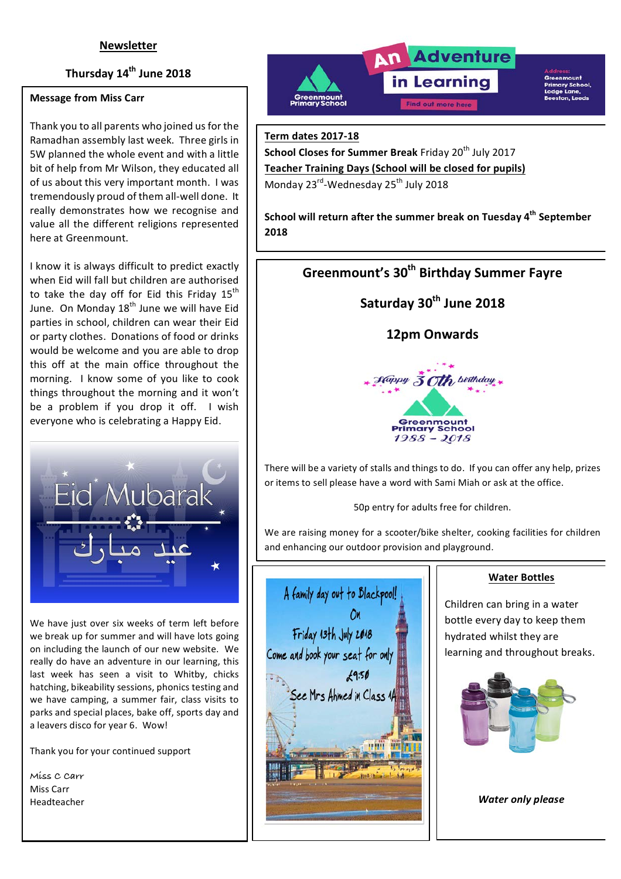## **Newsletter**

## **Thursday 14th June 2018**

#### **Message from Miss Carr**

Thank you to all parents who joined us for the Ramadhan assembly last week. Three girls in 5W planned the whole event and with a little bit of help from Mr Wilson, they educated all of us about this very important month. I was tremendously proud of them all-well done. It really demonstrates how we recognise and value all the different religions represented here at Greenmount.

I know it is always difficult to predict exactly when Eid will fall but children are authorised to take the day off for Eid this Friday  $15<sup>th</sup>$ June. On Monday  $18<sup>th</sup>$  June we will have Eid parties in school, children can wear their Eid or party clothes. Donations of food or drinks would be welcome and you are able to drop this off at the main office throughout the morning. I know some of you like to cook things throughout the morning and it won't be a problem if you drop it off. I wish everyone who is celebrating a Happy Eid.



We have just over six weeks of term left before we break up for summer and will have lots going on including the launch of our new website. We really do have an adventure in our learning, this last week has seen a visit to Whitby, chicks hatching, bikeability sessions, phonics testing and we have camping, a summer fair, class visits to parks and special places, bake off, sports day and a leavers disco for year 6. Wow!

Thank you for your continued support

**Miss C Carr** Miss Carr Headteacher



**Term dates 2017-18**

**School Closes for Summer Break** Friday 20<sup>th</sup> July 2017 **Teacher Training Days (School will be closed for pupils)** Monday 23<sup>rd</sup>-Wednesday 25<sup>th</sup> July 2018

**School will return after the summer break on Tuesday 4<sup>th</sup> September 2018**

# **Greenmount's 30<sup>th</sup> Birthday Summer Fayre**

Saturday 30<sup>th</sup> June 2018

## **12pm Onwards**



There will be a variety of stalls and things to do. If you can offer any help, prizes or items to sell please have a word with Sami Miah or ask at the office.

50p entry for adults free for children.

We are raising money for a scooter/bike shelter, cooking facilities for children and enhancing our outdoor provision and playground.



#### **Water Bottles**

Children can bring in a water bottle every day to keep them hydrated whilst they are learning and throughout breaks.



*Water only please*